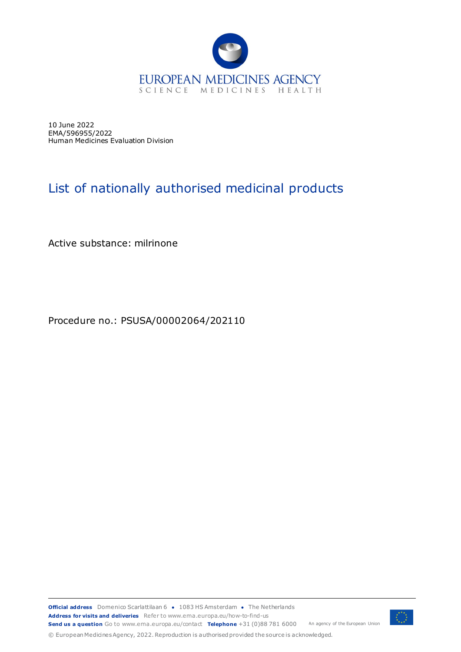

10 June 2022 EMA/596955/2022 Human Medicines Evaluation Division

## List of nationally authorised medicinal products

Active substance: milrinone

Procedure no.: PSUSA/00002064/202110

**Official address** Domenico Scarlattilaan 6 **●** 1083 HS Amsterdam **●** The Netherlands An agency of the European Union **Address for visits and deliveries** Refer to www.ema.europa.eu/how-to-find-us **Send us a question** Go to www.ema.europa.eu/contact **Telephone** +31 (0)88 781 6000



© European Medicines Agency, 2022. Reproduction is authorised provided the source is acknowledged.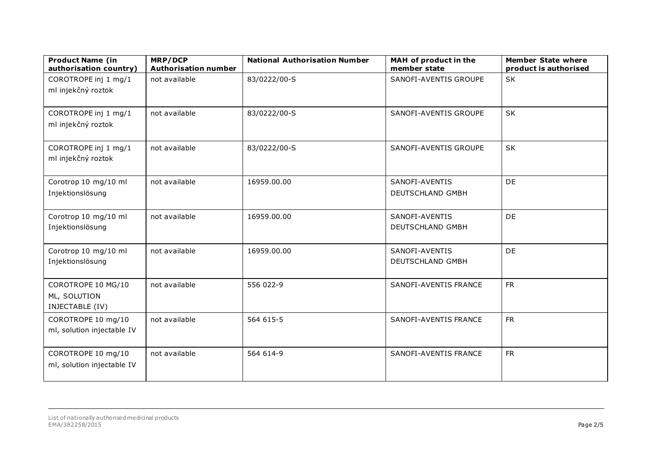| <b>Product Name (in</b><br>authorisation country)     | MRP/DCP<br><b>Authorisation number</b> | <b>National Authorisation Number</b> | MAH of product in the<br>member state | <b>Member State where</b><br>product is authorised |
|-------------------------------------------------------|----------------------------------------|--------------------------------------|---------------------------------------|----------------------------------------------------|
| COROTROPE inj 1 mg/1<br>ml injekčný roztok            | not available                          | 83/0222/00-S                         | SANOFI-AVENTIS GROUPE                 | <b>SK</b>                                          |
| COROTROPE inj 1 mg/1<br>ml injekčný roztok            | not available                          | 83/0222/00-S                         | SANOFI-AVENTIS GROUPE                 | <b>SK</b>                                          |
| COROTROPE inj 1 mg/1<br>ml injekčný roztok            | not available                          | 83/0222/00-S                         | SANOFI-AVENTIS GROUPE                 | <b>SK</b>                                          |
| Corotrop 10 mg/10 ml<br>Injektionslösung              | not available                          | 16959.00.00                          | SANOFI-AVENTIS<br>DEUTSCHLAND GMBH    | <b>DE</b>                                          |
| Corotrop 10 mg/10 ml<br>Injektionslösung              | not available                          | 16959.00.00                          | SANOFI-AVENTIS<br>DEUTSCHLAND GMBH    | <b>DE</b>                                          |
| Corotrop 10 mg/10 ml<br>Injektionslösung              | not available                          | 16959.00.00                          | SANOFI-AVENTIS<br>DEUTSCHLAND GMBH    | <b>DE</b>                                          |
| COROTROPE 10 MG/10<br>ML, SOLUTION<br>INJECTABLE (IV) | not available                          | 556 022-9                            | SANOFI-AVENTIS FRANCE                 | <b>FR</b>                                          |
| COROTROPE 10 mg/10<br>ml, solution injectable IV      | not available                          | 564 615-5                            | SANOFI-AVENTIS FRANCE                 | <b>FR</b>                                          |
| COROTROPE 10 mg/10<br>ml, solution injectable IV      | not available                          | 564 614-9                            | SANOFI-AVENTIS FRANCE                 | <b>FR</b>                                          |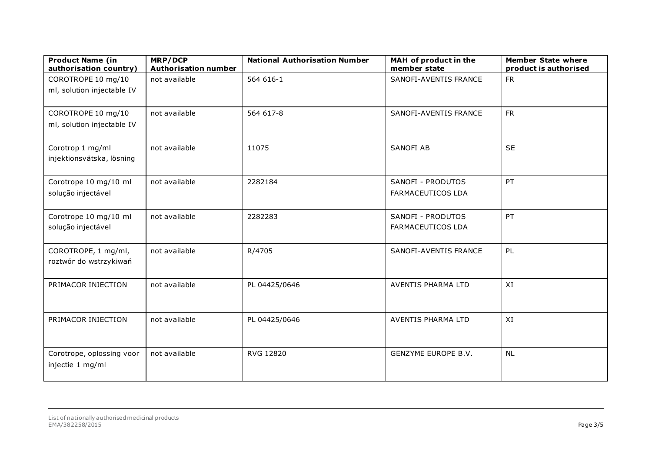| <b>Product Name (in</b><br>authorisation country) | MRP/DCP<br><b>Authorisation number</b> | <b>National Authorisation Number</b> | MAH of product in the<br>member state         | <b>Member State where</b><br>product is authorised |
|---------------------------------------------------|----------------------------------------|--------------------------------------|-----------------------------------------------|----------------------------------------------------|
| COROTROPE 10 mg/10<br>ml, solution injectable IV  | not available                          | 564 616-1                            | SANOFI-AVENTIS FRANCE                         | <b>FR</b>                                          |
| COROTROPE 10 mg/10<br>ml, solution injectable IV  | not available                          | 564 617-8                            | SANOFI-AVENTIS FRANCE                         | <b>FR</b>                                          |
| Corotrop 1 mg/ml<br>injektionsvätska, lösning     | not available                          | 11075                                | <b>SANOFI AB</b>                              | <b>SE</b>                                          |
| Corotrope 10 mg/10 ml<br>solução injectável       | not available                          | 2282184                              | SANOFI - PRODUTOS<br><b>FARMACEUTICOS LDA</b> | PT                                                 |
| Corotrope 10 mg/10 ml<br>solução injectável       | not available                          | 2282283                              | SANOFI - PRODUTOS<br><b>FARMACEUTICOS LDA</b> | PT                                                 |
| COROTROPE, 1 mg/ml,<br>roztwór do wstrzykiwań     | not available                          | R/4705                               | SANOFI-AVENTIS FRANCE                         | PL                                                 |
| PRIMACOR INJECTION                                | not available                          | PL 04425/0646                        | AVENTIS PHARMA LTD                            | XI                                                 |
| PRIMACOR INJECTION                                | not available                          | PL 04425/0646                        | AVENTIS PHARMA LTD                            | XI                                                 |
| Corotrope, oplossing voor<br>injectie 1 mg/ml     | not available                          | RVG 12820                            | GENZYME EUROPE B.V.                           | <b>NL</b>                                          |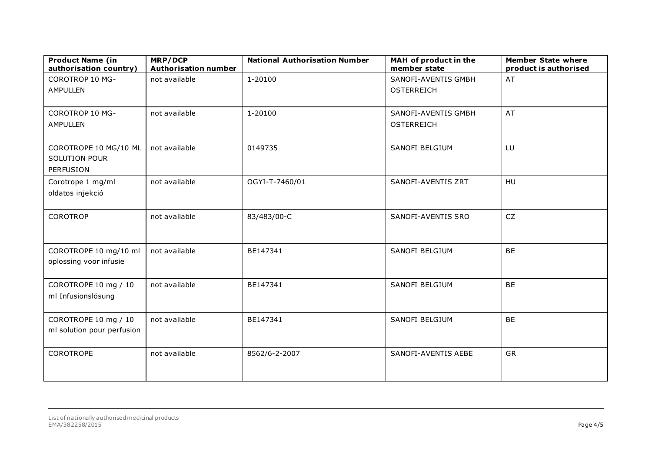| <b>Product Name (in</b><br>authorisation country)          | MRP/DCP<br><b>Authorisation number</b> | <b>National Authorisation Number</b> | MAH of product in the<br>member state    | <b>Member State where</b><br>product is authorised |
|------------------------------------------------------------|----------------------------------------|--------------------------------------|------------------------------------------|----------------------------------------------------|
| <b>COROTROP 10 MG-</b><br><b>AMPULLEN</b>                  | not available                          | 1-20100                              | SANOFI-AVENTIS GMBH<br><b>OSTERREICH</b> | AT                                                 |
| <b>COROTROP 10 MG-</b><br><b>AMPULLEN</b>                  | not available                          | 1-20100                              | SANOFI-AVENTIS GMBH<br><b>OSTERREICH</b> | AT                                                 |
| COROTROPE 10 MG/10 ML<br><b>SOLUTION POUR</b><br>PERFUSION | not available                          | 0149735                              | SANOFI BELGIUM                           | LU                                                 |
| Corotrope 1 mg/ml<br>oldatos injekció                      | not available                          | OGYI-T-7460/01                       | SANOFI-AVENTIS ZRT                       | <b>HU</b>                                          |
| COROTROP                                                   | not available                          | 83/483/00-C                          | SANOFI-AVENTIS SRO                       | CZ                                                 |
| COROTROPE 10 mg/10 ml<br>oplossing voor infusie            | not available                          | BE147341                             | SANOFI BELGIUM                           | <b>BE</b>                                          |
| COROTROPE 10 mg / 10<br>ml Infusionslösung                 | not available                          | BE147341                             | SANOFI BELGIUM                           | <b>BE</b>                                          |
| COROTROPE 10 mg / 10<br>ml solution pour perfusion         | not available                          | BE147341                             | SANOFI BELGIUM                           | <b>BE</b>                                          |
| <b>COROTROPE</b>                                           | not available                          | 8562/6-2-2007                        | SANOFI-AVENTIS AEBE                      | <b>GR</b>                                          |